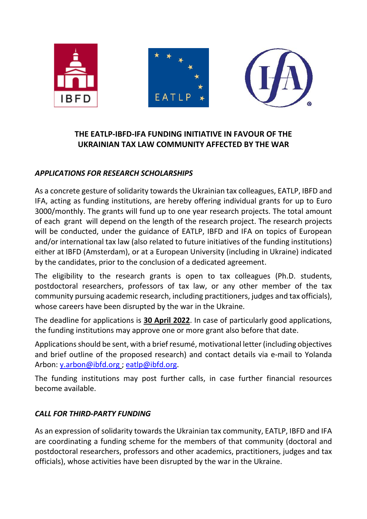

## **THE EATLP-IBFD-IFA FUNDING INITIATIVE IN FAVOUR OF THE UKRAINIAN TAX LAW COMMUNITY AFFECTED BY THE WAR**

## *APPLICATIONS FOR RESEARCH SCHOLARSHIPS*

As a concrete gesture of solidarity towards the Ukrainian tax colleagues, EATLP, IBFD and IFA, acting as funding institutions, are hereby offering individual grants for up to Euro 3000/monthly. The grants will fund up to one year research projects. The total amount of each grant will depend on the length of the research project. The research projects will be conducted, under the guidance of EATLP, IBFD and IFA on topics of European and/or international tax law (also related to future initiatives of the funding institutions) either at IBFD (Amsterdam), or at a European University (including in Ukraine) indicated by the candidates, prior to the conclusion of a dedicated agreement.

The eligibility to the research grants is open to tax colleagues (Ph.D. students, postdoctoral researchers, professors of tax law, or any other member of the tax community pursuing academic research, including practitioners, judges and tax officials), whose careers have been disrupted by the war in the Ukraine.

The deadline for applications is **30 April 2022**. In case of particularly good applications, the funding institutions may approve one or more grant also before that date.

Applications should be sent, with a brief resumé, motivational letter (including objectives and brief outline of the proposed research) and contact details via e-mail to Yolanda Arbon: [y.arbon@ibfd.org](mailto:y.arbon@ibfd.org) ; [eatlp@ibfd.org.](mailto:eatlp@ibfd.org)

The funding institutions may post further calls, in case further financial resources become available.

## *CALL FOR THIRD-PARTY FUNDING*

As an expression of solidarity towards the Ukrainian tax community, EATLP, IBFD and IFA are coordinating a funding scheme for the members of that community (doctoral and postdoctoral researchers, professors and other academics, practitioners, judges and tax officials), whose activities have been disrupted by the war in the Ukraine.